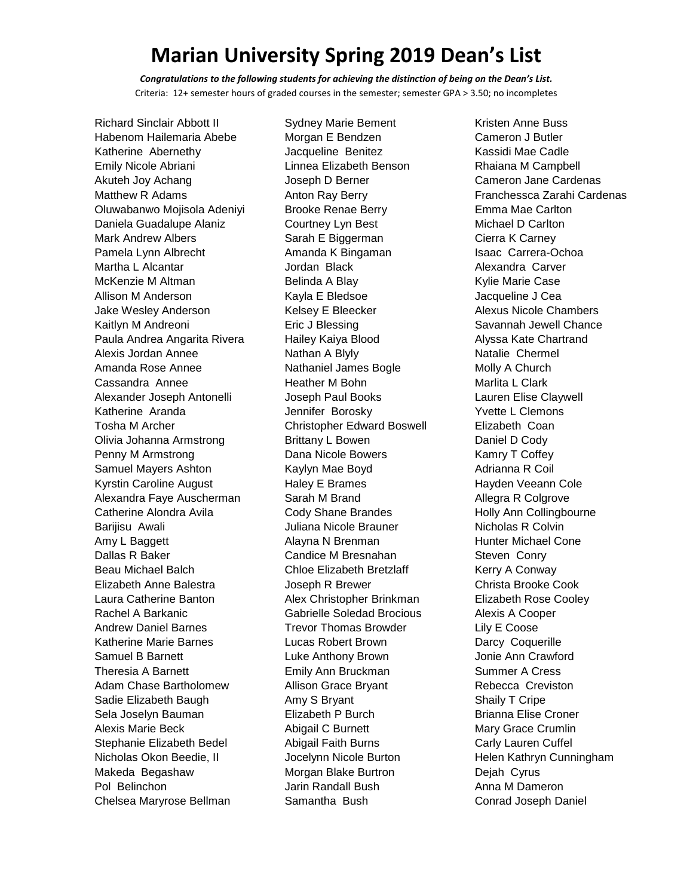*Congratulations to the following students for achieving the distinction of being on the Dean's List.* Criteria: 12+ semester hours of graded courses in the semester; semester GPA > 3.50; no incompletes

Richard Sinclair Abbott II Habenom Hailemaria Abebe Katherine Abernethy Emily Nicole Abriani Akuteh Joy Achang Matthew R Adams Oluwabanwo Mojisola Adeniyi Daniela Guadalupe Alaniz Mark Andrew Albers Pamela Lynn Albrecht Martha L Alcantar McKenzie M Altman Allison M Anderson Jake Wesley Anderson Kaitlyn M Andreoni Paula Andrea Angarita Rivera Alexis Jordan Annee Amanda Rose Annee Cassandra Annee Alexander Joseph Antonelli Katherine Aranda Tosha M Archer Olivia Johanna Armstrong Penny M Armstrong Samuel Mayers Ashton Kyrstin Caroline August Alexandra Faye Auscherman Catherine Alondra Avila Barijisu Awali Amy L Baggett Dallas R Baker Beau Michael Balch Elizabeth Anne Balestra Laura Catherine Banton Rachel A Barkanic Andrew Daniel Barnes Katherine Marie Barnes Samuel B Barnett Theresia A Barnett Adam Chase Bartholomew Sadie Elizabeth Baugh Sela Joselyn Bauman Alexis Marie Beck Stephanie Elizabeth Bedel Nicholas Okon Beedie, II Makeda Begashaw Pol Belinchon Chelsea Maryrose Bellman

Sydney Marie Bement Morgan E Bendzen Jacqueline Benitez Linnea Elizabeth Benson Joseph D Berner Anton Ray Berry Brooke Renae Berry Courtney Lyn Best Sarah E Biggerman Amanda K Bingaman Jordan Black Belinda A Blay Kayla E Bledsoe Kelsey E Bleecker Eric J Blessing Hailey Kaiya Blood Nathan A Blyly Nathaniel James Bogle Heather M Bohn Joseph Paul Books Jennifer Borosky Christopher Edward Boswell Brittany L Bowen Dana Nicole Bowers Kaylyn Mae Boyd Haley E Brames Sarah M Brand Cody Shane Brandes Juliana Nicole Brauner Alayna N Brenman Candice M Bresnahan Chloe Elizabeth Bretzlaff Joseph R Brewer Alex Christopher Brinkman Gabrielle Soledad Brocious Trevor Thomas Browder Lucas Robert Brown Luke Anthony Brown Emily Ann Bruckman Allison Grace Bryant Amy S Bryant Elizabeth P Burch Abigail C Burnett Abigail Faith Burns Jocelynn Nicole Burton Morgan Blake Burtron Jarin Randall Bush Samantha Bush

Kristen Anne Buss Cameron J Butler Kassidi Mae Cadle Rhaiana M Campbell Cameron Jane Cardenas Franchessca Zarahi Cardenas Emma Mae Carlton Michael D Carlton Cierra K Carney Isaac Carrera-Ochoa Alexandra Carver Kylie Marie Case Jacqueline J Cea Alexus Nicole Chambers Savannah Jewell Chance Alyssa Kate Chartrand Natalie Chermel Molly A Church Marlita L Clark Lauren Elise Claywell Yvette L Clemons Elizabeth Coan Daniel D Cody Kamry T Coffey Adrianna R Coil Hayden Veeann Cole Allegra R Colgrove Holly Ann Collingbourne Nicholas R Colvin Hunter Michael Cone Steven Conry Kerry A Conway Christa Brooke Cook Elizabeth Rose Cooley Alexis A Cooper Lily E Coose Darcy Coquerille Jonie Ann Crawford Summer A Cress Rebecca Creviston Shaily T Cripe Brianna Elise Croner Mary Grace Crumlin Carly Lauren Cuffel Helen Kathryn Cunningham Dejah Cyrus Anna M Dameron Conrad Joseph Daniel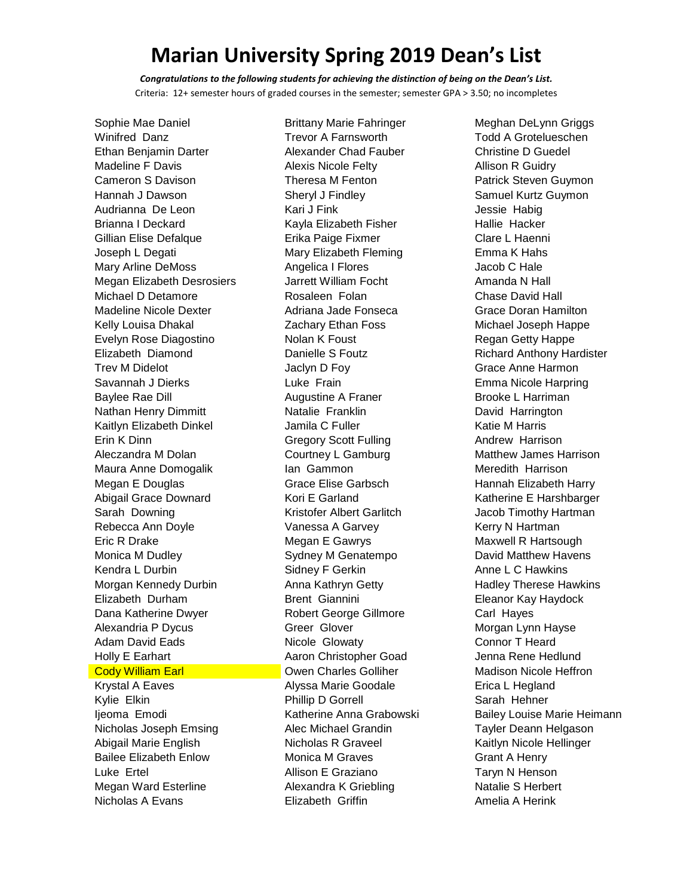*Congratulations to the following students for achieving the distinction of being on the Dean's List.* Criteria: 12+ semester hours of graded courses in the semester; semester GPA > 3.50; no incompletes

Sophie Mae Daniel Winifred Danz Ethan Benjamin Darter Madeline F Davis Cameron S Davison Hannah J Dawson Audrianna De Leon Brianna I Deckard Gillian Elise Defalque Joseph L Degati Mary Arline DeMoss Megan Elizabeth Desrosiers Michael D Detamore Madeline Nicole Dexter Kelly Louisa Dhakal Evelyn Rose Diagostino Elizabeth Diamond Trev M Didelot Savannah J Dierks Baylee Rae Dill Nathan Henry Dimmitt Kaitlyn Elizabeth Dinkel Erin K Dinn Aleczandra M Dolan Maura Anne Domogalik Megan E Douglas Abigail Grace Downard Sarah Downing Rebecca Ann Doyle Eric R Drake Monica M Dudley Kendra L Durbin Morgan Kennedy Durbin Elizabeth Durham Dana Katherine Dwyer Alexandria P Dycus Adam David Eads Holly E Earhart **Cody William Earl** 

Krystal A Eaves Kylie Elkin Ijeoma Emodi Nicholas Joseph Emsing Abigail Marie English Bailee Elizabeth Enlow Luke Ertel Megan Ward Esterline Nicholas A Evans

Brittany Marie Fahringer Trevor A Farnsworth Alexander Chad Fauber Alexis Nicole Felty Theresa M Fenton Sheryl J Findley Kari J Fink Kayla Elizabeth Fisher Erika Paige Fixmer Mary Elizabeth Fleming Angelica I Flores Jarrett William Focht Rosaleen Folan Adriana Jade Fonseca Zachary Ethan Foss Nolan K Foust Danielle S Foutz Jaclyn D Foy Luke Frain Augustine A Franer Natalie Franklin Jamila C Fuller Gregory Scott Fulling Courtney L Gamburg Ian Gammon Grace Elise Garbsch Kori E Garland Kristofer Albert Garlitch Vanessa A Garvey Megan E Gawrys Sydney M Genatempo Sidney F Gerkin Anna Kathryn Getty Brent Giannini Robert George Gillmore Greer Glover Nicole Glowaty Aaron Christopher Goad Owen Charles Golliher Alyssa Marie Goodale Phillip D Gorrell Katherine Anna Grabowski Alec Michael Grandin Nicholas R Graveel Monica M Graves Allison E Graziano Alexandra K Griebling Elizabeth Griffin

Meghan DeLynn Griggs Todd A Grotelueschen Christine D Guedel Allison R Guidry Patrick Steven Guymon Samuel Kurtz Guymon Jessie Habig Hallie Hacker Clare L Haenni Emma K Hahs Jacob C Hale Amanda N Hall Chase David Hall Grace Doran Hamilton Michael Joseph Happe Regan Getty Happe Richard Anthony Hardister Grace Anne Harmon Emma Nicole Harpring Brooke L Harriman David Harrington Katie M Harris Andrew Harrison Matthew James Harrison Meredith Harrison Hannah Elizabeth Harry Katherine E Harshbarger Jacob Timothy Hartman Kerry N Hartman Maxwell R Hartsough David Matthew Havens Anne L C Hawkins Hadley Therese Hawkins Eleanor Kay Haydock Carl Hayes Morgan Lynn Hayse Connor T Heard Jenna Rene Hedlund Madison Nicole Heffron Erica L Hegland Sarah Hehner Bailey Louise Marie Heimann Tayler Deann Helgason Kaitlyn Nicole Hellinger Grant A Henry Taryn N Henson Natalie S Herbert Amelia A Herink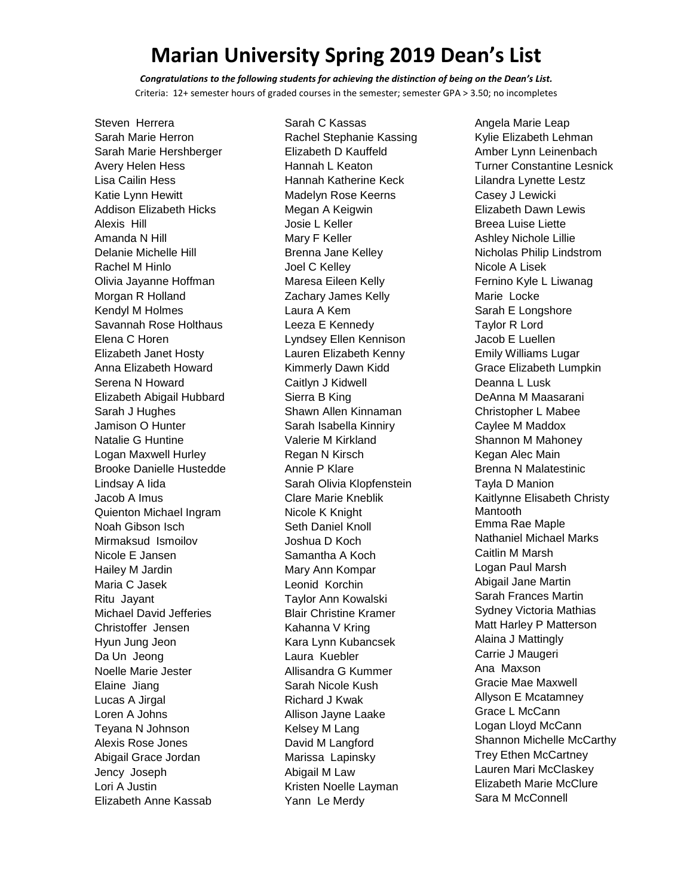*Congratulations to the following students for achieving the distinction of being on the Dean's List.* Criteria: 12+ semester hours of graded courses in the semester; semester GPA > 3.50; no incompletes

Steven Herrera Sarah Marie Herron Sarah Marie Hershberger Avery Helen Hess Lisa Cailin Hess Katie Lynn Hewitt Addison Elizabeth Hicks Alexis Hill Amanda N Hill Delanie Michelle Hill Rachel M Hinlo Olivia Jayanne Hoffman Morgan R Holland Kendyl M Holmes Savannah Rose Holthaus Elena C Horen Elizabeth Janet Hosty Anna Elizabeth Howard Serena N Howard Elizabeth Abigail Hubbard Sarah J Hughes Jamison O Hunter Natalie G Huntine Logan Maxwell Hurley Brooke Danielle Hustedde Lindsay A Iida Jacob A Imus Quienton Michael Ingram Noah Gibson Isch Mirmaksud Ismoilov Nicole E Jansen Hailey M Jardin Maria C Jasek Ritu Jayant Michael David Jefferies Christoffer Jensen Hyun Jung Jeon Da Un Jeong Noelle Marie Jester Elaine Jiang Lucas A Jirgal Loren A Johns Teyana N Johnson Alexis Rose Jones Abigail Grace Jordan Jency Joseph Lori A Justin Elizabeth Anne Kassab

Sarah C Kassas Rachel Stephanie Kassing Elizabeth D Kauffeld Hannah L Keaton Hannah Katherine Keck Madelyn Rose Keerns Megan A Keigwin Josie L Keller Mary F Keller Brenna Jane Kelley Joel C Kelley Maresa Eileen Kelly Zachary James Kelly Laura A Kem Leeza E Kennedy Lyndsey Ellen Kennison Lauren Elizabeth Kenny Kimmerly Dawn Kidd Caitlyn J Kidwell Sierra B King Shawn Allen Kinnaman Sarah Isabella Kinniry Valerie M Kirkland Regan N Kirsch Annie P Klare Sarah Olivia Klopfenstein Clare Marie Kneblik Nicole K Knight Seth Daniel Knoll Joshua D Koch Samantha A Koch Mary Ann Kompar Leonid Korchin Taylor Ann Kowalski Blair Christine Kramer Kahanna V Kring Kara Lynn Kubancsek Laura Kuebler Allisandra G Kummer Sarah Nicole Kush Richard J Kwak Allison Jayne Laake Kelsey M Lang David M Langford Marissa Lapinsky Abigail M Law Kristen Noelle Layman Yann Le Merdy

Angela Marie Leap Kylie Elizabeth Lehman Amber Lynn Leinenbach Turner Constantine Lesnick Lilandra Lynette Lestz Casey J Lewicki Elizabeth Dawn Lewis Breea Luise Liette Ashley Nichole Lillie Nicholas Philip Lindstrom Nicole A Lisek Fernino Kyle L Liwanag Marie Locke Sarah E Longshore Taylor R Lord Jacob E Luellen Emily Williams Lugar Grace Elizabeth Lumpkin Deanna L Lusk DeAnna M Maasarani Christopher L Mabee Caylee M Maddox Shannon M Mahoney Kegan Alec Main Brenna N Malatestinic Tayla D Manion Kaitlynne Elisabeth Christy Mantooth Emma Rae Maple Nathaniel Michael Marks Caitlin M Marsh Logan Paul Marsh Abigail Jane Martin Sarah Frances Martin Sydney Victoria Mathias Matt Harley P Matterson Alaina J Mattingly Carrie J Maugeri Ana Maxson Gracie Mae Maxwell Allyson E Mcatamney Grace L McCann Logan Lloyd McCann Shannon Michelle McCarthy Trey Ethen McCartney Lauren Mari McClaskey Elizabeth Marie McClure Sara M McConnell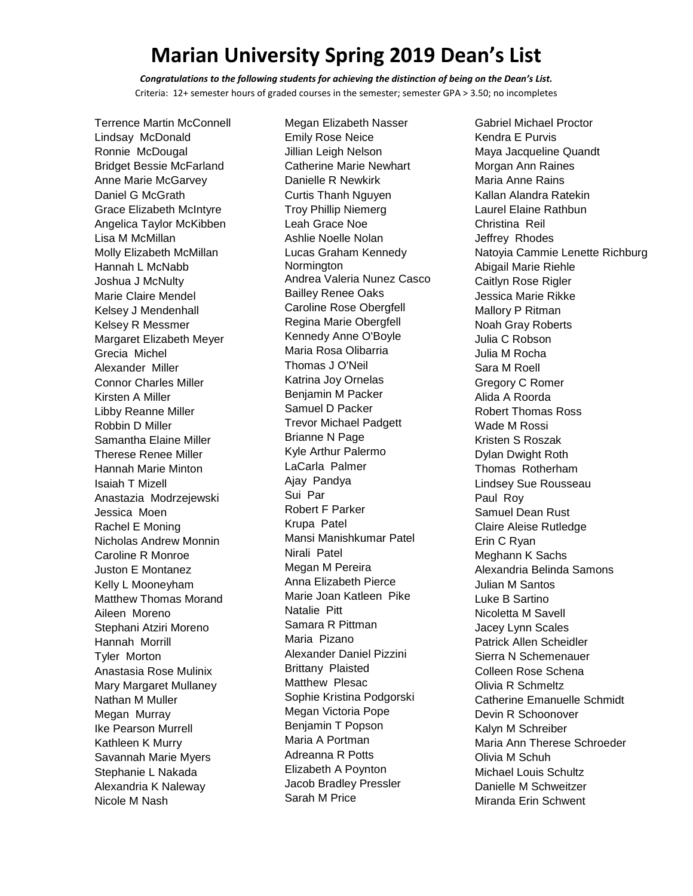*Congratulations to the following students for achieving the distinction of being on the Dean's List.* Criteria: 12+ semester hours of graded courses in the semester; semester GPA > 3.50; no incompletes

Terrence Martin McConnell Lindsay McDonald Ronnie McDougal Bridget Bessie McFarland Anne Marie McGarvey Daniel G McGrath Grace Elizabeth McIntyre Angelica Taylor McKibben Lisa M McMillan Molly Elizabeth McMillan Hannah L McNabb Joshua J McNulty Marie Claire Mendel Kelsey J Mendenhall Kelsey R Messmer Margaret Elizabeth Meyer Grecia Michel Alexander Miller Connor Charles Miller Kirsten A Miller Libby Reanne Miller Robbin D Miller Samantha Elaine Miller Therese Renee Miller Hannah Marie Minton Isaiah T Mizell Anastazia Modrzejewski Jessica Moen Rachel E Moning Nicholas Andrew Monnin Caroline R Monroe Juston E Montanez Kelly L Mooneyham Matthew Thomas Morand Aileen Moreno Stephani Atziri Moreno Hannah Morrill Tyler Morton Anastasia Rose Mulinix Mary Margaret Mullaney Nathan M Muller Megan Murray Ike Pearson Murrell Kathleen K Murry Savannah Marie Myers Stephanie L Nakada Alexandria K Naleway Nicole M Nash

Megan Elizabeth Nasser Emily Rose Neice Jillian Leigh Nelson Catherine Marie Newhart Danielle R Newkirk Curtis Thanh Nguyen Troy Phillip Niemerg Leah Grace Noe Ashlie Noelle Nolan Lucas Graham Kennedy Normington Andrea Valeria Nunez Casco Bailley Renee Oaks Caroline Rose Obergfell Regina Marie Obergfell Kennedy Anne O'Boyle Maria Rosa Olibarria Thomas J O'Neil Katrina Joy Ornelas Benjamin M Packer Samuel D Packer Trevor Michael Padgett Brianne N Page Kyle Arthur Palermo LaCarla Palmer Ajay Pandya Sui Par Robert F Parker Krupa Patel Mansi Manishkumar Patel Nirali Patel Megan M Pereira Anna Elizabeth Pierce Marie Joan Katleen Pike Natalie Pitt Samara R Pittman Maria Pizano Alexander Daniel Pizzini Brittany Plaisted Matthew Plesac Sophie Kristina Podgorski Megan Victoria Pope Benjamin T Popson Maria A Portman Adreanna R Potts Elizabeth A Poynton Jacob Bradley Pressler Sarah M Price

Gabriel Michael Proctor Kendra E Purvis Maya Jacqueline Quandt Morgan Ann Raines Maria Anne Rains Kallan Alandra Ratekin Laurel Elaine Rathbun Christina Reil Jeffrey Rhodes Natoyia Cammie Lenette Richburg Abigail Marie Riehle Caitlyn Rose Rigler Jessica Marie Rikke Mallory P Ritman Noah Gray Roberts Julia C Robson Julia M Rocha Sara M Roell Gregory C Romer Alida A Roorda Robert Thomas Ross Wade M Rossi Kristen S Roszak Dylan Dwight Roth Thomas Rotherham Lindsey Sue Rousseau Paul Roy Samuel Dean Rust Claire Aleise Rutledge Erin C Ryan Meghann K Sachs Alexandria Belinda Samons Julian M Santos Luke B Sartino Nicoletta M Savell Jacey Lynn Scales Patrick Allen Scheidler Sierra N Schemenauer Colleen Rose Schena Olivia R Schmeltz Catherine Emanuelle Schmidt Devin R Schoonover Kalyn M Schreiber Maria Ann Therese Schroeder Olivia M Schuh Michael Louis Schultz Danielle M Schweitzer Miranda Erin Schwent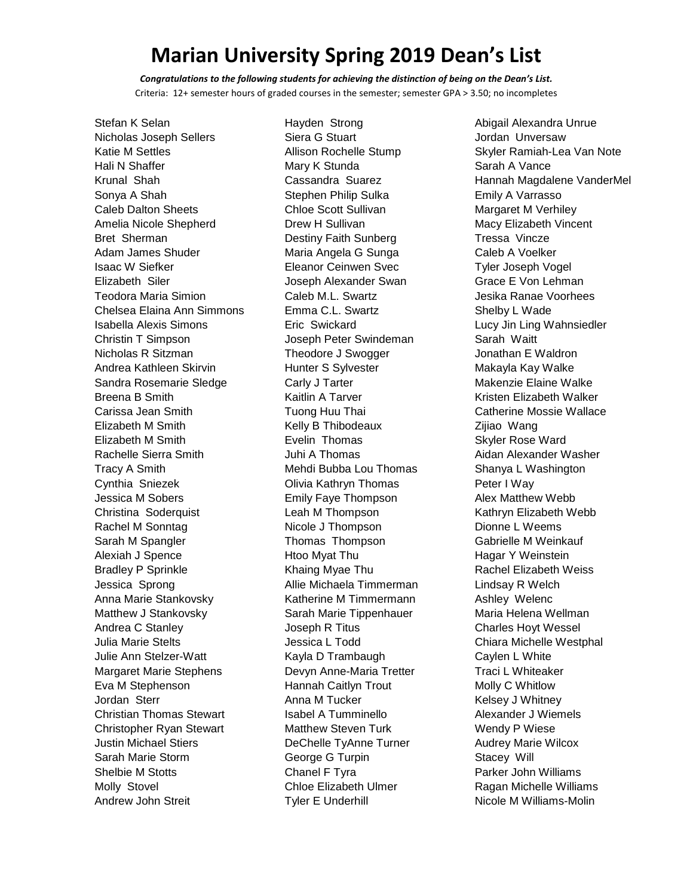*Congratulations to the following students for achieving the distinction of being on the Dean's List.* Criteria: 12+ semester hours of graded courses in the semester; semester GPA > 3.50; no incompletes

Stefan K Selan Nicholas Joseph Sellers Katie M Settles Hali N Shaffer Krunal Shah Sonya A Shah Caleb Dalton Sheets Amelia Nicole Shepherd Bret Sherman Adam James Shuder Isaac W Siefker Elizabeth Siler Teodora Maria Simion Chelsea Elaina Ann Simmons Isabella Alexis Simons Christin T Simpson Nicholas R Sitzman Andrea Kathleen Skirvin Sandra Rosemarie Sledge Breena B Smith Carissa Jean Smith Elizabeth M Smith Elizabeth M Smith Rachelle Sierra Smith Tracy A Smith Cynthia Sniezek Jessica M Sobers Christina Soderquist Rachel M Sonntag Sarah M Spangler Alexiah J Spence Bradley P Sprinkle Jessica Sprong Anna Marie Stankovsky Matthew J Stankovsky Andrea C Stanley Julia Marie Stelts Julie Ann Stelzer-Watt Margaret Marie Stephens Eva M Stephenson Jordan Sterr Christian Thomas Stewart Christopher Ryan Stewart Justin Michael Stiers Sarah Marie Storm Shelbie M Stotts Molly Stovel Andrew John Streit

Hayden Strong Siera G Stuart Allison Rochelle Stump Mary K Stunda Cassandra Suarez Stephen Philip Sulka Chloe Scott Sullivan Drew H Sullivan Destiny Faith Sunberg Maria Angela G Sunga Eleanor Ceinwen Svec Joseph Alexander Swan Caleb M.L. Swartz Emma C.L. Swartz Eric Swickard Joseph Peter Swindeman Theodore J Swogger Hunter S Sylvester Carly J Tarter Kaitlin A Tarver Tuong Huu Thai Kelly B Thibodeaux Evelin Thomas Juhi A Thomas Mehdi Bubba Lou Thomas Olivia Kathryn Thomas Emily Faye Thompson Leah M Thompson Nicole J Thompson Thomas Thompson Htoo Myat Thu Khaing Myae Thu Allie Michaela Timmerman Katherine M Timmermann Sarah Marie Tippenhauer Joseph R Titus Jessica L Todd Kayla D Trambaugh Devyn Anne-Maria Tretter Hannah Caitlyn Trout Anna M Tucker Isabel A Tumminello Matthew Steven Turk DeChelle TyAnne Turner George G Turpin Chanel F Tyra Chloe Elizabeth Ulmer Tyler E Underhill

Abigail Alexandra Unrue Jordan Unversaw Skyler Ramiah-Lea Van Note Sarah A Vance Hannah Magdalene VanderMel Emily A Varrasso Margaret M Verhiley Macy Elizabeth Vincent Tressa Vincze Caleb A Voelker Tyler Joseph Vogel Grace E Von Lehman Jesika Ranae Voorhees Shelby L Wade Lucy Jin Ling Wahnsiedler Sarah Waitt Jonathan E Waldron Makayla Kay Walke Makenzie Elaine Walke Kristen Elizabeth Walker Catherine Mossie Wallace Zijiao Wang Skyler Rose Ward Aidan Alexander Washer Shanya L Washington Peter I Way Alex Matthew Webb Kathryn Elizabeth Webb Dionne L Weems Gabrielle M Weinkauf Hagar Y Weinstein Rachel Elizabeth Weiss Lindsay R Welch Ashley Welenc Maria Helena Wellman Charles Hoyt Wessel Chiara Michelle Westphal Caylen L White Traci L Whiteaker Molly C Whitlow Kelsey J Whitney Alexander J Wiemels Wendy P Wiese Audrey Marie Wilcox Stacey Will Parker John Williams Ragan Michelle Williams Nicole M Williams-Molin